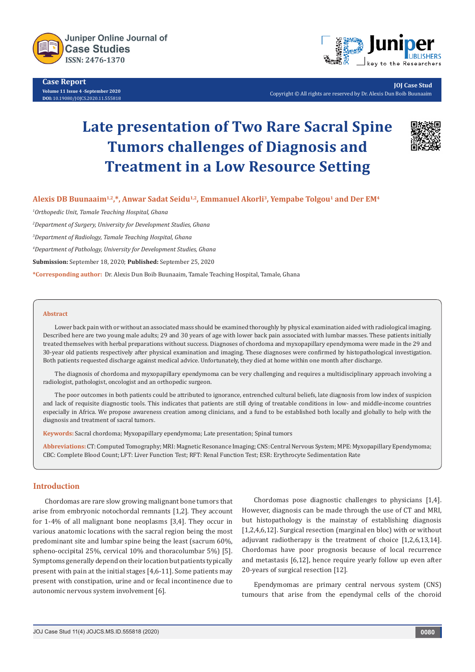

**Case Report Volume 11 Issue 4 -September 2020 DOI:** [10.19080/JOJCS.2020.11.5558](http://dx.doi.org/10.19080/JOJCS.2020.11.555818)18



**JOJ Case Stud** Copyright © All rights are reserved by Dr. Alexis Dun Boib Buunaaim

# **Late presentation of Two Rare Sacral Spine Tumors challenges of Diagnosis and Treatment in a Low Resource Setting**



Alexis DB Buunaaim<sup>1,2</sup>,\*, Anwar Sadat Seidu<sup>1,2</sup>, Emmanuel Akorli<sup>3</sup>, Yempabe Tolgou<sup>1</sup> and Der EM<sup>4</sup>

*1 Orthopedic Unit, Tamale Teaching Hospital, Ghana*

*2 Department of Surgery, University for Development Studies, Ghana*

*3 Department of Radiology, Tamale Teaching Hospital, Ghana*

*4 Department of Pathology, University for Development Studies, Ghana*

**Submission:** September 18, 2020; **Published:** September 25, 2020

**\*Corresponding author:** Dr. Alexis Dun Boib Buunaaim, Tamale Teaching Hospital, Tamale, Ghana

#### **Abstract**

Lower back pain with or without an associated mass should be examined thoroughly by physical examination aided with radiological imaging. Described here are two young male adults; 29 and 30 years of age with lower back pain associated with lumbar masses. These patients initially treated themselves with herbal preparations without success. Diagnoses of chordoma and myxopapillary ependymoma were made in the 29 and 30-year old patients respectively after physical examination and imaging. These diagnoses were confirmed by histopathological investigation. Both patients requested discharge against medical advice. Unfortunately, they died at home within one month after discharge.

The diagnosis of chordoma and myxopapillary ependymoma can be very challenging and requires a multidisciplinary approach involving a radiologist, pathologist, oncologist and an orthopedic surgeon.

The poor outcomes in both patients could be attributed to ignorance, entrenched cultural beliefs, late diagnosis from low index of suspicion and lack of requisite diagnostic tools. This indicates that patients are still dying of treatable conditions in low- and middle-income countries especially in Africa. We propose awareness creation among clinicians, and a fund to be established both locally and globally to help with the diagnosis and treatment of sacral tumors.

**Keywords:** Sacral chordoma; Myxopapillary ependymoma; Late presentation; Spinal tumors

**Abbreviations:** CT: Computed Tomography; MRI: Magnetic Resonance Imaging; CNS: Central Nervous System; MPE: Myxopapillary Ependymoma; CBC: Complete Blood Count; LFT: Liver Function Test; RFT: Renal Function Test; ESR: Erythrocyte Sedimentation Rate

## **Introduction**

Chordomas are rare slow growing malignant bone tumors that arise from embryonic notochordal remnants [1,2]. They account for 1-4% of all malignant bone neoplasms [3,4]. They occur in various anatomic locations with the sacral region being the most predominant site and lumbar spine being the least (sacrum 60%, spheno-occipital 25%, cervical 10% and thoracolumbar 5%) [5]. Symptoms generally depend on their location but patients typically present with pain at the initial stages [4,6-11]. Some patients may present with constipation, urine and or fecal incontinence due to autonomic nervous system involvement [6].

Chordomas pose diagnostic challenges to physicians [1,4]. However, diagnosis can be made through the use of CT and MRI, but histopathology is the mainstay of establishing diagnosis [1,2,4,6,12]. Surgical resection (marginal en bloc) with or without adjuvant radiotherapy is the treatment of choice [1,2,6,13,14]. Chordomas have poor prognosis because of local recurrence and metastasis [6,12], hence require yearly follow up even after 20-years of surgical resection [12].

Ependymomas are primary central nervous system (CNS) tumours that arise from the ependymal cells of the choroid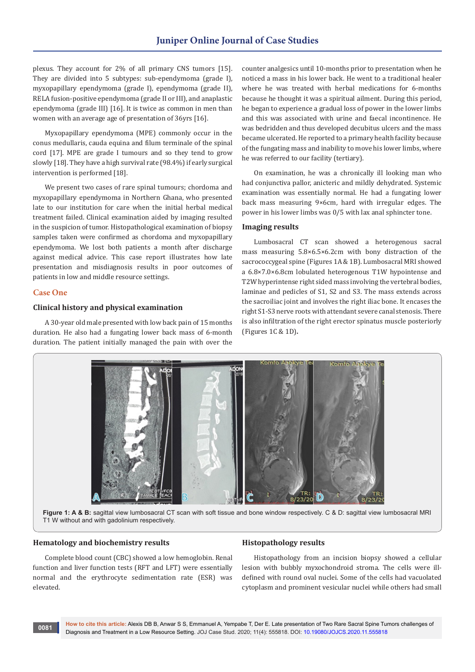plexus. They account for 2% of all primary CNS tumors [15]. They are divided into 5 subtypes: sub-ependymoma (grade I), myxopapillary ependymoma (grade I), ependymoma (grade II), RELA fusion-positive ependymoma (grade II or III), and anaplastic ependymoma (grade III) [16]. It is twice as common in men than women with an average age of presentation of 36yrs [16].

Myxopapillary ependymoma (MPE) commonly occur in the conus medullaris, cauda equina and filum terminale of the spinal cord [17]. MPE are grade I tumours and so they tend to grow slowly [18]. They have a high survival rate (98.4%) if early surgical intervention is performed [18].

We present two cases of rare spinal tumours; chordoma and myxopapillary ependymoma in Northern Ghana, who presented late to our institution for care when the initial herbal medical treatment failed. Clinical examination aided by imaging resulted in the suspicion of tumor. Histopathological examination of biopsy samples taken were confirmed as chordoma and myxopapillary ependymoma. We lost both patients a month after discharge against medical advice. This case report illustrates how late presentation and misdiagnosis results in poor outcomes of patients in low and middle resource settings.

## **Case One**

#### **Clinical history and physical examination**

A 30-year old male presented with low back pain of 15 months duration. He also had a fungating lower back mass of 6-month duration. The patient initially managed the pain with over the counter analgesics until 10-months prior to presentation when he noticed a mass in his lower back. He went to a traditional healer where he was treated with herbal medications for 6-months because he thought it was a spiritual ailment. During this period, he began to experience a gradual loss of power in the lower limbs and this was associated with urine and faecal incontinence. He was bedridden and thus developed decubitus ulcers and the mass became ulcerated. He reported to a primary health facility because of the fungating mass and inability to move his lower limbs, where he was referred to our facility (tertiary).

On examination, he was a chronically ill looking man who had conjunctiva pallor, anicteric and mildly dehydrated. Systemic examination was essentially normal. He had a fungating lower back mass measuring 9×6cm, hard with irregular edges. The power in his lower limbs was 0/5 with lax anal sphincter tone.

## **Imaging results**

Lumbosacral CT scan showed a heterogenous sacral mass measuring 5.8×6.5×6.2cm with bony distraction of the sacrococcygeal spine (Figures 1A & 1B). Lumbosacral MRI showed a 6.8×7.0×6.8cm lobulated heterogenous T1W hypointense and T2W hyperintense right sided mass involving the vertebral bodies, laminae and pedicles of S1, S2 and S3. The mass extends across the sacroiliac joint and involves the right iliac bone. It encases the right S1-S3 nerve roots with attendant severe canal stenosis. There is also infiltration of the right erector spinatus muscle posteriorly (Figures 1C & 1D)**.**



Figure 1: A & B: sagittal view lumbosacral CT scan with soft tissue and bone window respectively. C & D: sagittal view lumbosacral MRI T1 W without and with gadolinium respectively.

## **Hematology and biochemistry results**

Complete blood count (CBC) showed a low hemoglobin. Renal function and liver function tests (RFT and LFT) were essentially normal and the erythrocyte sedimentation rate (ESR) was elevated.

#### **Histopathology results**

Histopathology from an incision biopsy showed a cellular lesion with bubbly myxochondroid stroma. The cells were illdefined with round oval nuclei. Some of the cells had vacuolated cytoplasm and prominent vesicular nuclei while others had small

**0081**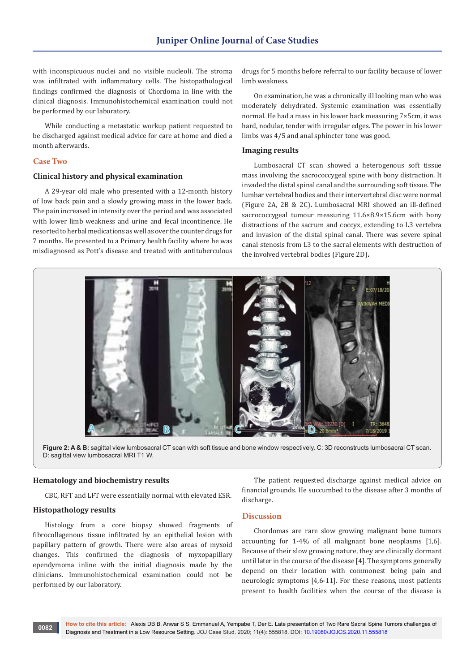with inconspicuous nuclei and no visible nucleoli. The stroma was infiltrated with inflammatory cells. The histopathological findings confirmed the diagnosis of Chordoma in line with the clinical diagnosis. Immunohistochemical examination could not be performed by our laboratory.

While conducting a metastatic workup patient requested to be discharged against medical advice for care at home and died a month afterwards.

## **Case Two**

#### **Clinical history and physical examination**

A 29-year old male who presented with a 12-month history of low back pain and a slowly growing mass in the lower back. The pain increased in intensity over the period and was associated with lower limb weakness and urine and fecal incontinence. He resorted to herbal medications as well as over the counter drugs for 7 months. He presented to a Primary health facility where he was misdiagnosed as Pott's disease and treated with antituberculous drugs for 5 months before referral to our facility because of lower limb weakness.

On examination, he was a chronically ill looking man who was moderately dehydrated. Systemic examination was essentially normal. He had a mass in his lower back measuring 7×5cm, it was hard, nodular, tender with irregular edges. The power in his lower limbs was 4/5 and anal sphincter tone was good.

#### **Imaging results**

Lumbosacral CT scan showed a heterogenous soft tissue mass involving the sacrococcygeal spine with bony distraction. It invaded the distal spinal canal and the surrounding soft tissue. The lumbar vertebral bodies and their intervertebral disc were normal (Figure 2A, 2B & 2C)**.** Lumbosacral MRI showed an ill-defined sacrococcygeal tumour measuring 11.6×8.9×15.6cm with bony distractions of the sacrum and coccyx, extending to L3 vertebra and invasion of the distal spinal canal. There was severe spinal canal stenosis from L3 to the sacral elements with destruction of the involved vertebral bodies (Figure 2D)**.**



**Figure 2: A & B:** sagittal view lumbosacral CT scan with soft tissue and bone window respectively. C: 3D reconstructs lumbosacral CT scan. D: sagittal view lumbosacral MRI T1 W.

#### **Hematology and biochemistry results**

CBC, RFT and LFT were essentially normal with elevated ESR.

### **Histopathology results**

Histology from a core biopsy showed fragments of fibrocollagenous tissue infiltrated by an epithelial lesion with papillary pattern of growth. There were also areas of myxoid changes. This confirmed the diagnosis of myxopapillary ependymoma inline with the initial diagnosis made by the clinicians. Immunohistochemical examination could not be performed by our laboratory.

The patient requested discharge against medical advice on financial grounds. He succumbed to the disease after 3 months of discharge.

#### **Discussion**

Chordomas are rare slow growing malignant bone tumors accounting for 1-4% of all malignant bone neoplasms [1,6]. Because of their slow growing nature, they are clinically dormant until later in the course of the disease [4]. The symptoms generally depend on their location with commonest being pain and neurologic symptoms [4,6-11]. For these reasons, most patients present to health facilities when the course of the disease is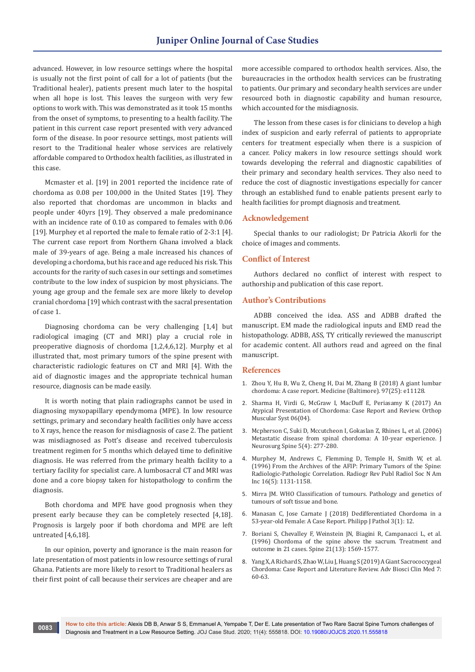advanced. However, in low resource settings where the hospital is usually not the first point of call for a lot of patients (but the Traditional healer), patients present much later to the hospital when all hope is lost. This leaves the surgeon with very few options to work with. This was demonstrated as it took 15 months from the onset of symptoms, to presenting to a health facility. The patient in this current case report presented with very advanced form of the disease. In poor resource settings, most patients will resort to the Traditional healer whose services are relatively affordable compared to Orthodox health facilities, as illustrated in this case.

Mcmaster et al. [19] in 2001 reported the incidence rate of chordoma as 0.08 per 100,000 in the United States [19]. They also reported that chordomas are uncommon in blacks and people under 40yrs [19]. They observed a male predominance with an incidence rate of 0.10 as compared to females with 0.06 [19]. Murphey et al reported the male to female ratio of 2-3:1 [4]. The current case report from Northern Ghana involved a black male of 39-years of age. Being a male increased his chances of developing a chordoma, but his race and age reduced his risk. This accounts for the rarity of such cases in our settings and sometimes contribute to the low index of suspicion by most physicians. The young age group and the female sex are more likely to develop cranial chordoma [19] which contrast with the sacral presentation of case 1.

Diagnosing chordoma can be very challenging [1,4] but radiological imaging (CT and MRI) play a crucial role in preoperative diagnosis of chordoma [1,2,4,6,12]. Murphy et al illustrated that, most primary tumors of the spine present with characteristic radiologic features on CT and MRI [4]. With the aid of diagnostic images and the appropriate technical human resource, diagnosis can be made easily.

It is worth noting that plain radiographs cannot be used in diagnosing myxopapillary ependymoma (MPE). In low resource settings, primary and secondary health facilities only have access to X rays, hence the reason for misdiagnosis of case 2. The patient was misdiagnosed as Pott's disease and received tuberculosis treatment regimen for 5 months which delayed time to definitive diagnosis. He was referred from the primary health facility to a tertiary facility for specialist care. A lumbosacral CT and MRI was done and a core biopsy taken for histopathology to confirm the diagnosis.

Both chordoma and MPE have good prognosis when they present early because they can be completely resected [4,18]. Prognosis is largely poor if both chordoma and MPE are left untreated [4,6,18].

In our opinion, poverty and ignorance is the main reason for late presentation of most patients in low resource settings of rural Ghana. Patients are more likely to resort to Traditional healers as their first point of call because their services are cheaper and are

more accessible compared to orthodox health services. Also, the bureaucracies in the orthodox health services can be frustrating to patients. Our primary and secondary health services are under resourced both in diagnostic capability and human resource, which accounted for the misdiagnosis.

The lesson from these cases is for clinicians to develop a high index of suspicion and early referral of patients to appropriate centers for treatment especially when there is a suspicion of a cancer. Policy makers in low resource settings should work towards developing the referral and diagnostic capabilities of their primary and secondary health services. They also need to reduce the cost of diagnostic investigations especially for cancer through an established fund to enable patients present early to health facilities for prompt diagnosis and treatment.

#### **Acknowledgement**

Special thanks to our radiologist; Dr Patricia Akorli for the choice of images and comments.

#### **Conflict of Interest**

Authors declared no conflict of interest with respect to authorship and publication of this case report.

## **Author's Contributions**

ADBB conceived the idea. ASS and ADBB drafted the manuscript. EM made the radiological inputs and EMD read the histopathology. ADBB, ASS, TY critically reviewed the manuscript for academic content. All authors read and agreed on the final manuscript.

#### **References**

- 1. [Zhou Y, Hu B, Wu Z, Cheng H, Dai M, Zhang B \(2018\) A giant lumbar](https://journals.lww.com/md-journal/Fulltext/2018/06220/A_giant_lumbar_chordoma__A_case_report.44.aspx)  [chordoma: A case report. Medicine \(Baltimore\). 97\(25\): e11128.](https://journals.lww.com/md-journal/Fulltext/2018/06220/A_giant_lumbar_chordoma__A_case_report.44.aspx)
- 2. Sharma H, Virdi G, McGraw I, MacDuff E, Periasamy K (2017) An Atypical Presentation of Chordoma: Case Report and Review. Orthop Muscular Syst 06(04).
- 3. [Mcpherson C, Suki D, Mccutcheon I, Gokaslan Z, Rhines L, et al. \(2006\)](https://pubmed.ncbi.nlm.nih.gov/17048762/)  [Metastatic disease from spinal chordoma: A 10-year experience. J](https://pubmed.ncbi.nlm.nih.gov/17048762/)  [Neurosurg Spine 5\(4\): 277-280.](https://pubmed.ncbi.nlm.nih.gov/17048762/)
- 4. [Murphey M, Andrews C, Flemming D, Temple H, Smith W, et al.](https://pubmed.ncbi.nlm.nih.gov/8888395/)  [\(1996\) From the Archives of the AFIP: Primary Tumors of the Spine:](https://pubmed.ncbi.nlm.nih.gov/8888395/)  [Radiologic-Pathologic Correlation. Radiogr Rev Publ Radiol Soc N Am](https://pubmed.ncbi.nlm.nih.gov/8888395/)  [Inc 16\(5\): 1131-1158.](https://pubmed.ncbi.nlm.nih.gov/8888395/)
- 5. Mirra JM. WHO Classification of tumours. Pathology and genetics of tumours of soft tissue and bone.
- 6. [Manasan C, Jose Carnate J \(2018\) Dedifferentiated Chordoma in a](https://philippinejournalofpathology.org/index.php/PJP/article/view/46)  [53-year-old Female: A Case Report. Philipp J Pathol 3\(1\): 12.](https://philippinejournalofpathology.org/index.php/PJP/article/view/46)
- 7. [Boriani S, Chevalley F, Weinstein JN, Biagini R, Campanacci L, et al.](https://pubmed.ncbi.nlm.nih.gov/8817786/)  [\(1996\) Chordoma of the spine above the sacrum. Treatment and](https://pubmed.ncbi.nlm.nih.gov/8817786/)  [outcome in 21 cases. Spine 21\(13\): 1569-1577.](https://pubmed.ncbi.nlm.nih.gov/8817786/)
- 8. Yang X, A Richard S, Zhao W, Liu J, Huang S (2019) A Giant Sacrococcygeal Chordoma: Case Report and Literature Review. Adv Biosci Clin Med 7: 60-63.